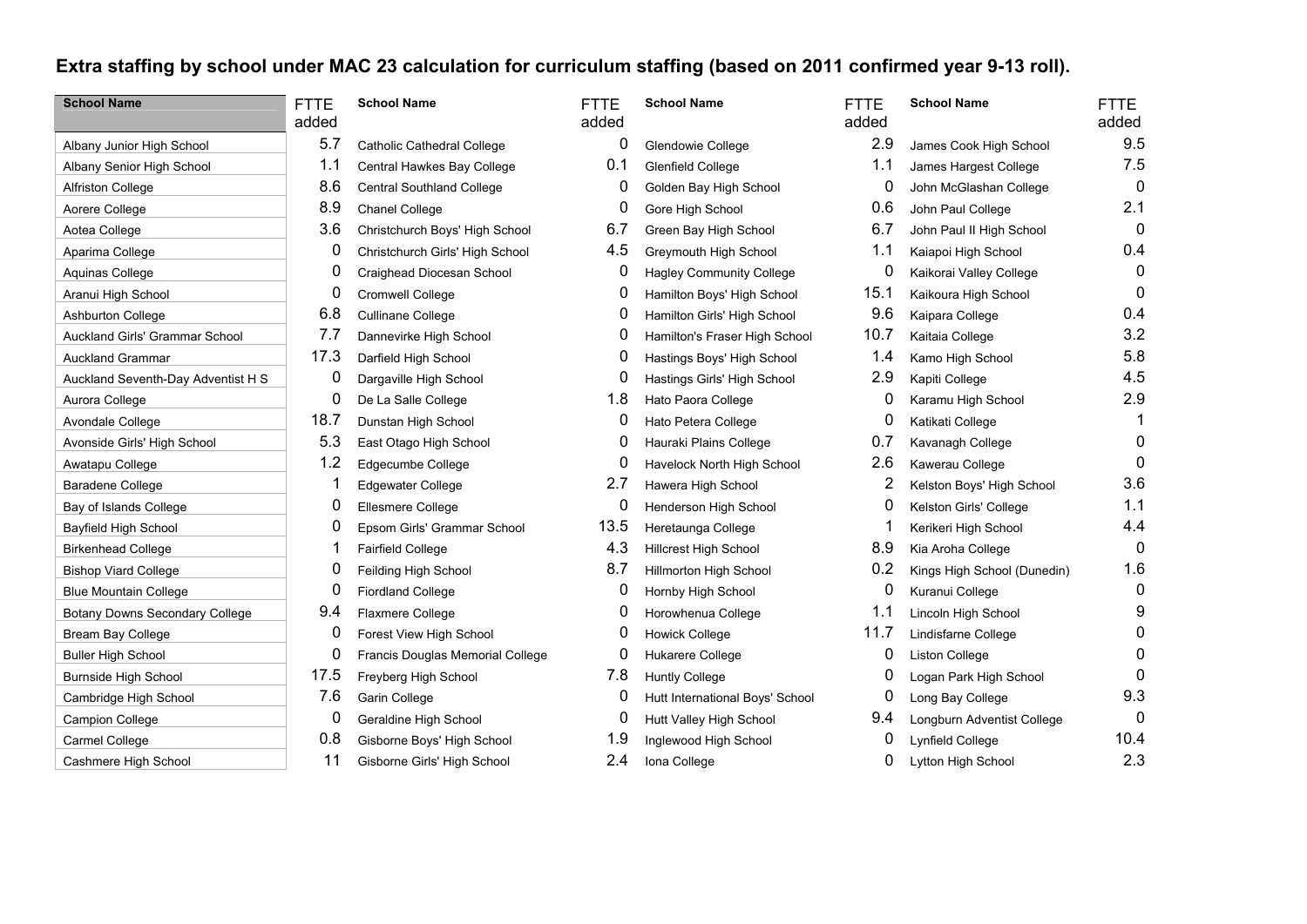## **Extra staffing by school under MAC 23 calculation for curriculum staffing (based on 2011 confirmed year 9-13 roll).**

| <b>School Name</b>                 | <b>FTTE</b> | <b>School Name</b>                | <b>FTTE</b> | <b>School Name</b>              | <b>FTTE</b> | <b>School Name</b>          | <b>FTTE</b>  |
|------------------------------------|-------------|-----------------------------------|-------------|---------------------------------|-------------|-----------------------------|--------------|
|                                    | added       |                                   | added       |                                 | added       |                             | added        |
| Albany Junior High School          | 5.7         | <b>Catholic Cathedral College</b> | 0           | Glendowie College               | 2.9         | James Cook High School      | 9.5          |
| Albany Senior High School          | 1.1         | Central Hawkes Bay College        | 0.1         | Glenfield College               | 1.1         | James Hargest College       | 7.5          |
| Alfriston College                  | 8.6         | Central Southland College         | 0           | Golden Bay High School          | 0           | John McGlashan College      | $\mathbf{0}$ |
| Aorere College                     | 8.9         | Chanel College                    | 0           | Gore High School                | 0.6         | John Paul College           | 2.1          |
| Aotea College                      | 3.6         | Christchurch Boys' High School    | 6.7         | Green Bay High School           | 6.7         | John Paul II High School    | $\mathbf 0$  |
| Aparima College                    | 0           | Christchurch Girls' High School   | 4.5         | Greymouth High School           | 1.1         | Kaiapoi High School         | 0.4          |
| Aquinas College                    | 0           | Craighead Diocesan School         | 0           | <b>Hagley Community College</b> | 0           | Kaikorai Valley College     | $\mathbf{0}$ |
| Aranui High School                 | 0           | Cromwell College                  | 0           | Hamilton Boys' High School      | 15.1        | Kaikoura High School        | 0            |
| Ashburton College                  | 6.8         | <b>Cullinane College</b>          | 0           | Hamilton Girls' High School     | 9.6         | Kaipara College             | 0.4          |
| Auckland Girls' Grammar School     | 7.7         | Dannevirke High School            | 0           | Hamilton's Fraser High School   | 10.7        | Kaitaia College             | 3.2          |
| <b>Auckland Grammar</b>            | 17.3        | Darfield High School              | 0           | Hastings Boys' High School      | 1.4         | Kamo High School            | 5.8          |
| Auckland Seventh-Day Adventist H S | 0           | Dargaville High School            | 0           | Hastings Girls' High School     | 2.9         | Kapiti College              | 4.5          |
| Aurora College                     | 0           | De La Salle College               | 1.8         | Hato Paora College              | 0           | Karamu High School          | 2.9          |
| Avondale College                   | 18.7        | Dunstan High School               | 0           | Hato Petera College             |             | Katikati College            |              |
| Avonside Girls' High School        | 5.3         | East Otago High School            | 0           | Hauraki Plains College          | 0.7         | Kavanagh College            | $\Omega$     |
| Awatapu College                    | 1.2         | Edgecumbe College                 | 0           | Havelock North High School      | 2.6         | Kawerau College             | $\Omega$     |
| <b>Baradene College</b>            |             | <b>Edgewater College</b>          | 2.7         | Hawera High School              | 2           | Kelston Boys' High School   | 3.6          |
| Bay of Islands College             | 0           | Ellesmere College                 | 0           | Henderson High School           |             | Kelston Girls' College      | 1.1          |
| Bayfield High School               | 0           | Epsom Girls' Grammar School       | 13.5        | Heretaunga College              |             | Kerikeri High School        | 4.4          |
| <b>Birkenhead College</b>          |             | <b>Fairfield College</b>          | 4.3         | Hillcrest High School           | 8.9         | Kia Aroha College           | $\Omega$     |
| <b>Bishop Viard College</b>        | 0           | Feilding High School              | 8.7         | Hillmorton High School          | 0.2         | Kings High School (Dunedin) | 1.6          |
| <b>Blue Mountain College</b>       | 0           | <b>Fiordland College</b>          | 0           | Hornby High School              | 0           | Kuranui College             | 0            |
| Botany Downs Secondary College     | 9.4         | Flaxmere College                  | 0           | Horowhenua College              | 1.1         | Lincoln High School         | 9            |
| Bream Bay College                  | 0           | Forest View High School           | 0           | Howick College                  | 11.7        | Lindisfarne College         | 0            |
| <b>Buller High School</b>          | 0           | Francis Douglas Memorial College  | 0           | Hukarere College                | 0           | Liston College              | 0            |
| Burnside High School               | 17.5        | Freyberg High School              | 7.8         | <b>Huntly College</b>           |             | Logan Park High School      | $\Omega$     |
| Cambridge High School              | 7.6         | Garin College                     | 0           | Hutt International Boys' School | O           | Long Bay College            | 9.3          |
| <b>Campion College</b>             | 0           | Geraldine High School             | 0           | Hutt Valley High School         | 9.4         | Longburn Adventist College  | $\Omega$     |
| Carmel College                     | 0.8         | Gisborne Boys' High School        | 1.9         | Inglewood High School           |             | Lynfield College            | 10.4         |
| Cashmere High School               | 11          | Gisborne Girls' High School       | 2.4         | Iona College                    | 0           | Lytton High School          | 2.3          |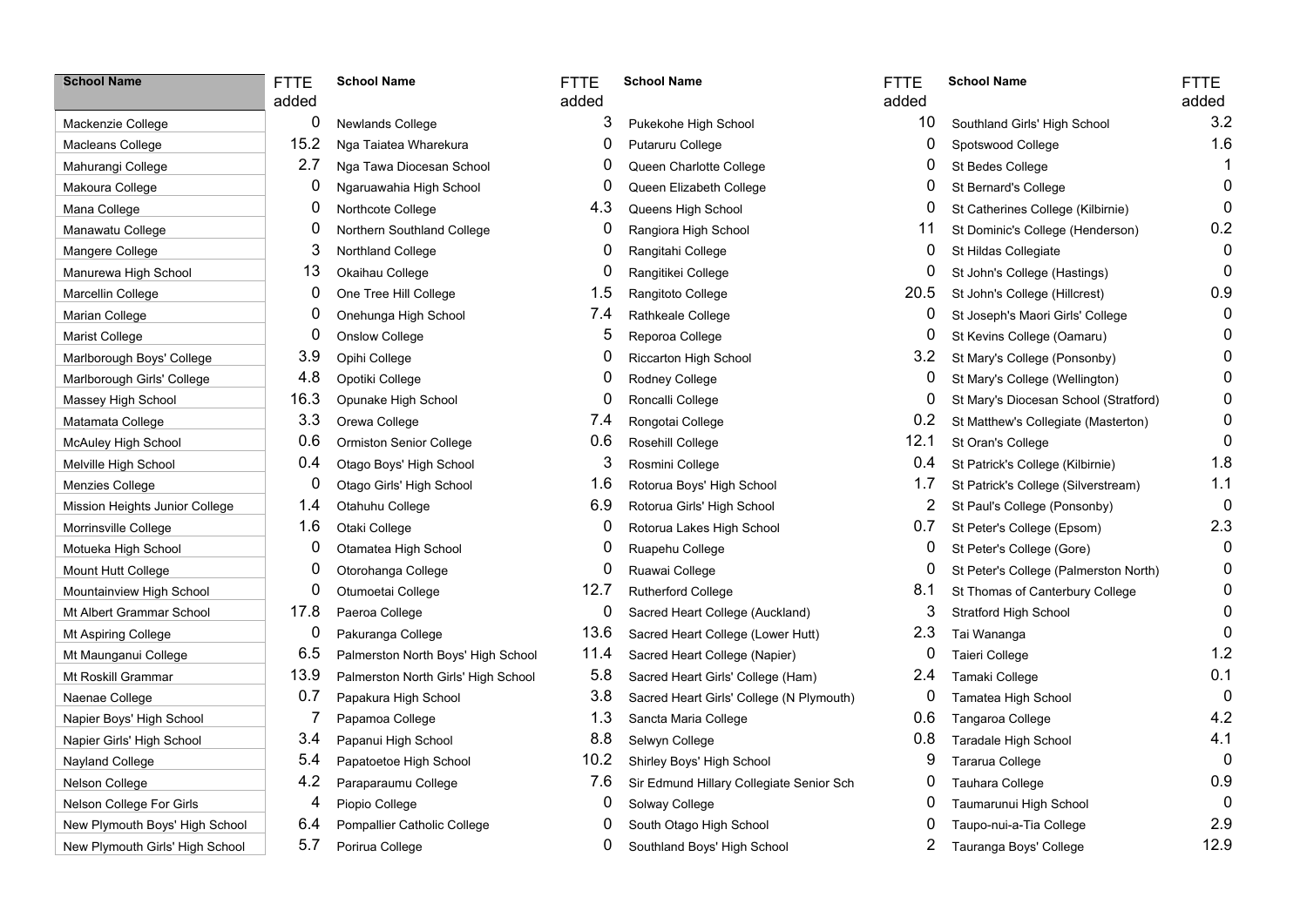| <b>School Name</b>              | FT<br>ad |
|---------------------------------|----------|
| Mackenzie College               |          |
| Macleans College                |          |
| Mahurangi College               |          |
| Makoura College                 |          |
| Mana College                    |          |
| Manawatu College                |          |
| Mangere College                 |          |
| Manurewa High School            |          |
| Marcellin College               |          |
| Marian College                  |          |
| Marist College                  |          |
| Marlborough Boys' College       |          |
| Marlborough Girls' College      |          |
| Massey High School              |          |
| Matamata College                |          |
| McAuley High School             |          |
| Melville High School            |          |
| Menzies College                 |          |
| Mission Heights Junior College  |          |
| Morrinsville College            |          |
| Motueka High School             |          |
| Mount Hutt College              |          |
| Mountainview High School        |          |
| Mt Albert Grammar School        |          |
| Mt Aspiring College             |          |
| Mt Maunganui College            |          |
| Mt Roskill Grammar              |          |
| Naenae College                  |          |
| Napier Boys' High School        |          |
| Napier Girls' High School       |          |
| Nayland College                 |          |
| Nelson College                  |          |
| Nelson College For Girls        |          |
| New Plymouth Boys' High School  |          |
| New Plymouth Girls' High School |          |

## **School Name** FTTE added **School Name** FTTE 0 Newlands College 15.2 Nga Taiatea Wharekura 2.7 Nga Tawa Diocesan School 0 Ngaruawahia High School 0 Northern Southland College  $0$  One Tree Hill College 0 Onehunga High School 16.3 Opunake High School 0.6 Ormiston Senior College 0.4 Otago Boys' High School  $0$  Otago Girls' High School 0 Otamatea High School 0 Otorohanga College 0 Otumoetai College 12.7 Rutherford College 8.1 St Thomas of Canterbury College 8.1 St Thomas of Canterbury College 0.1 St Thomas of Canterbury College 0.1 St Thomas of Canterbury College 0.1 St Thomas of Canterbury Colleg

- 3.4 Papanui High School 5.4 Papatoetoe High School 11.2 Shirley Boys' High School 9 Tararua College 0 Tararua College 0 Tararua College 0 Tararua College 0 Tararua College 0 Tararua College 0 Tararua College 0 Tararua College 0 Tararua College 0
	-
- 6.4 Pompallier Catholic College 0 South Otago High School
- 

| –<br>┕ | <b>School Name</b> | <b>FTTE</b> |
|--------|--------------------|-------------|
|        |                    |             |

| dded |                                     | added |                                          |
|------|-------------------------------------|-------|------------------------------------------|
| 0    | Newlands College                    | 3     | Pukekohe High School                     |
| 15.2 | Nga Taiatea Wharekura               | 0     | Putaruru College                         |
| 2.7  | Nga Tawa Diocesan School            | 0     | Queen Charlotte College                  |
| 0    | Ngaruawahia High School             | 0     | Queen Elizabeth College                  |
| 0    | Northcote College                   | 4.3   | Queens High School                       |
| 0    | Northern Southland College          | 0     | Rangiora High School                     |
| 3    | Northland College                   | 0     | Rangitahi College                        |
| 13   | Okaihau College                     | 0     | Rangitikei College                       |
| 0    | One Tree Hill College               | 1.5   | Rangitoto College                        |
| 0    | Onehunga High School                | 7.4   | Rathkeale College                        |
| 0    | <b>Onslow College</b>               | 5     | Reporoa College                          |
| 3.9  | Opihi College                       | 0     | Riccarton High School                    |
| 4.8  | Opotiki College                     | 0     | Rodney College                           |
| 16.3 | Opunake High School                 | 0     | Roncalli College                         |
| 3.3  | Orewa College                       | 7.4   | Rongotai College                         |
| 0.6  | Ormiston Senior College             | 0.6   | Rosehill College                         |
| 0.4  | Otago Boys' High School             | 3     | Rosmini College                          |
| 0    | Otago Girls' High School            | 1.6   | Rotorua Boys' High School                |
| 1.4  | Otahuhu College                     | 6.9   | Rotorua Girls' High School               |
| 1.6  | Otaki College                       | 0     | Rotorua Lakes High School                |
| 0    | Otamatea High School                | 0     | Ruapehu College                          |
| 0    | Otorohanga College                  | 0     | Ruawai College                           |
| 0    | Otumoetai College                   | 12.7  | <b>Rutherford College</b>                |
| 17.8 | Paeroa College                      | 0     | Sacred Heart College (Auckland)          |
| 0    | Pakuranga College                   | 13.6  | Sacred Heart College (Lower Hutt)        |
| 6.5  | Palmerston North Boys' High School  | 11.4  | Sacred Heart College (Napier)            |
| 13.9 | Palmerston North Girls' High School | 5.8   | Sacred Heart Girls' College (Ham)        |
| 0.7  | Papakura High School                | 3.8   | Sacred Heart Girls' College (N Plymouth) |
| 7    | Papamoa College                     | 1.3   | Sancta Maria College                     |
| 3.4  | Papanui High School                 | 8.8   | Selwyn College                           |
| 5.4  | Papatoetoe High School              | 10.2  | Shirley Boys' High School                |
| 4.2  | Paraparaumu College                 | 7.6   | Sir Edmund Hillary Collegiate Senior Sch |
| 4    | Piopio College                      | 0     | Solway College                           |
|      |                                     |       |                                          |

- 
- 

| <b>School Name</b>              | <b>FTTE</b><br>added | <b>School Name</b>                  | <b>FTTE</b><br>added | <b>School Name</b>                       | <b>FTTE</b><br>added | <b>School Name</b>                    | <b>FTTE</b><br>added |
|---------------------------------|----------------------|-------------------------------------|----------------------|------------------------------------------|----------------------|---------------------------------------|----------------------|
| Mackenzie College               | 0                    | Newlands College                    | 3                    | Pukekohe High School                     | 10                   | Southland Girls' High School          | 3.2                  |
| Macleans College                | 15.2                 | Nga Taiatea Wharekura               | 0                    | Putaruru College                         | 0                    | Spotswood College                     | 1.6                  |
| Mahurangi College               | 2.7                  | Nga Tawa Diocesan School            | 0                    | Queen Charlotte College                  | 0                    | St Bedes College                      | -1                   |
| Makoura College                 | 0                    | Ngaruawahia High School             | 0                    | Queen Elizabeth College                  | 0                    | St Bernard's College                  | $\Omega$             |
| Mana College                    | 0                    | Northcote College                   | 4.3                  | Queens High School                       | 0                    | St Catherines College (Kilbirnie)     | $\Omega$             |
| Manawatu College                | 0                    | Northern Southland College          | 0                    | Rangiora High School                     | 11                   | St Dominic's College (Henderson)      | 0.2                  |
| Mangere College                 | 3                    | Northland College                   | 0                    | Rangitahi College                        | 0                    | St Hildas Collegiate                  | 0                    |
| Manurewa High School            | 13                   | Okaihau College                     | 0                    | Rangitikei College                       | 0                    | St John's College (Hastings)          | $\Omega$             |
| Marcellin College               | 0                    | One Tree Hill College               | 1.5                  | Rangitoto College                        | 20.5                 | St John's College (Hillcrest)         | 0.9                  |
| Marian College                  | 0                    | Onehunga High School                | 7.4                  | Rathkeale College                        | 0                    | St Joseph's Maori Girls' College      |                      |
| Marist College                  | 0                    | <b>Onslow College</b>               | 5                    | Reporoa College                          | 0                    | St Kevins College (Oamaru)            |                      |
| Marlborough Boys' College       | 3.9                  | Opihi College                       | 0                    | Riccarton High School                    | 3.2                  | St Mary's College (Ponsonby)          |                      |
| Marlborough Girls' College      | 4.8                  | Opotiki College                     | 0                    | Rodney College                           | 0                    | St Mary's College (Wellington)        |                      |
| Massey High School              | 16.3                 | Opunake High School                 | 0                    | Roncalli College                         | 0                    | St Mary's Diocesan School (Stratford) |                      |
| Matamata College                | 3.3                  | Orewa College                       | 7.4                  | Rongotai College                         | 0.2                  | St Matthew's Collegiate (Masterton)   | $\Box$               |
| McAuley High School             | 0.6                  | <b>Ormiston Senior College</b>      | 0.6                  | Rosehill College                         | 12.1                 | St Oran's College                     | <sup>0</sup>         |
| Melville High School            | 0.4                  | Otago Boys' High School             | 3                    | Rosmini College                          | 0.4                  | St Patrick's College (Kilbirnie)      | 1.8                  |
| Menzies College                 | 0                    | Otago Girls' High School            | 1.6                  | Rotorua Boys' High School                | 1.7                  | St Patrick's College (Silverstream)   | 1.1                  |
| Mission Heights Junior College  | 1.4                  | Otahuhu College                     | 6.9                  | Rotorua Girls' High School               | 2                    | St Paul's College (Ponsonby)          | 0                    |
| Morrinsville College            | 1.6                  | Otaki College                       | $\boldsymbol{0}$     | Rotorua Lakes High School                | 0.7                  | St Peter's College (Epsom)            | 2.3                  |
| Motueka High School             | 0                    | Otamatea High School                | 0                    | Ruapehu College                          | 0                    | St Peter's College (Gore)             | 0                    |
| Mount Hutt College              | 0                    | Otorohanga College                  | 0                    | Ruawai College                           | 0                    | St Peter's College (Palmerston North) | 0                    |
| Mountainview High School        | 0                    | Otumoetai College                   | 12.7                 | Rutherford College                       | 8.1                  | St Thomas of Canterbury College       | 0                    |
| Mt Albert Grammar School        | 17.8                 | Paeroa College                      | 0                    | Sacred Heart College (Auckland)          | 3                    | Stratford High School                 | 0                    |
| Mt Aspiring College             | 0                    | Pakuranga College                   | 13.6                 | Sacred Heart College (Lower Hutt)        | 2.3                  | Tai Wananga                           | 0                    |
| Mt Maunganui College            | 6.5                  | Palmerston North Boys' High School  | 11.4                 | Sacred Heart College (Napier)            | 0                    | Taieri College                        | 1.2                  |
| Mt Roskill Grammar              | 13.9                 | Palmerston North Girls' High School | 5.8                  | Sacred Heart Girls' College (Ham)        | 2.4                  | Tamaki College                        | 0.1                  |
| Naenae College                  | 0.7                  | Papakura High School                | 3.8                  | Sacred Heart Girls' College (N Plymouth) | 0                    | Tamatea High School                   | $\mathbf 0$          |
| Napier Boys' High School        | 7                    | Papamoa College                     | 1.3                  | Sancta Maria College                     | 0.6                  | Tangaroa College                      | 4.2                  |
| Napier Girls' High School       | 3.4                  | Papanui High School                 | 8.8                  | Selwyn College                           | 0.8                  | <b>Taradale High School</b>           | 4.1                  |
| Nayland College                 | 5.4                  | Papatoetoe High School              | 10.2                 | Shirley Boys' High School                | 9                    | Tararua College                       | $\mathbf 0$          |
| Nelson College                  | 4.2                  | Paraparaumu College                 | 7.6                  | Sir Edmund Hillary Collegiate Senior Sch | 0                    | Tauhara College                       | 0.9                  |
| Nelson College For Girls        | 4                    | Piopio College                      | 0                    | Solway College                           | 0                    | Taumarunui High School                | 0                    |
| New Plymouth Boys' High School  | 6.4                  | Pompallier Catholic College         | 0                    | South Otago High School                  |                      | Taupo-nui-a-Tia College               | 2.9                  |
| New Plymouth Girls' High School | 5.7                  | Porirua College                     | 0                    | Southland Boys' High School              | 2                    | Tauranga Boys' College                | 12.9                 |